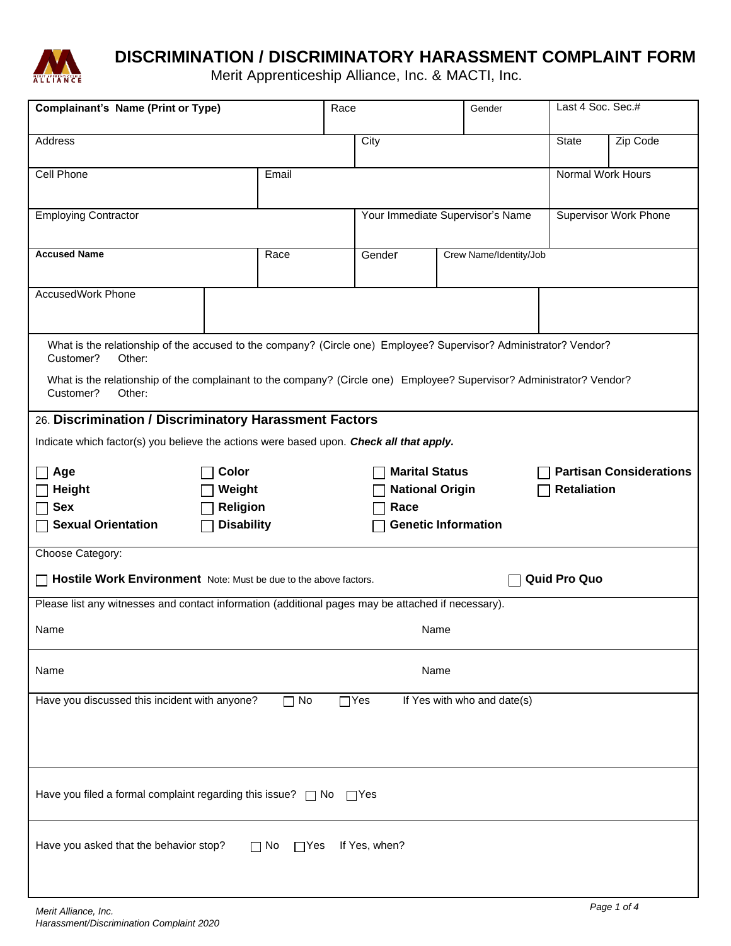

# **DISCRIMINATION / DISCRIMINATORY HARASSMENT COMPLAINT FORM**

Merit Apprenticeship Alliance, Inc. & MACTI, Inc.

| <b>Complainant's Name (Print or Type)</b>                                                                                                    |                   |       | Race                                                    |                                  | Gender                 |                    | Last 4 Soc. Sec.#            |             |
|----------------------------------------------------------------------------------------------------------------------------------------------|-------------------|-------|---------------------------------------------------------|----------------------------------|------------------------|--------------------|------------------------------|-------------|
| Address                                                                                                                                      |                   |       |                                                         | City                             |                        |                    | State                        | Zip Code    |
| Cell Phone                                                                                                                                   |                   | Email |                                                         |                                  |                        |                    | Normal Work Hours            |             |
| <b>Employing Contractor</b>                                                                                                                  |                   |       |                                                         | Your Immediate Supervisor's Name |                        |                    | <b>Supervisor Work Phone</b> |             |
| <b>Accused Name</b>                                                                                                                          |                   | Race  |                                                         | Gender                           | Crew Name/Identity/Job |                    |                              |             |
| <b>AccusedWork Phone</b>                                                                                                                     |                   |       |                                                         |                                  |                        |                    |                              |             |
| What is the relationship of the accused to the company? (Circle one) Employee? Supervisor? Administrator? Vendor?<br>Customer?<br>Other:     |                   |       |                                                         |                                  |                        |                    |                              |             |
| What is the relationship of the complainant to the company? (Circle one) Employee? Supervisor? Administrator? Vendor?<br>Customer?<br>Other: |                   |       |                                                         |                                  |                        |                    |                              |             |
| 26. Discrimination / Discriminatory Harassment Factors                                                                                       |                   |       |                                                         |                                  |                        |                    |                              |             |
| Indicate which factor(s) you believe the actions were based upon. Check all that apply.                                                      |                   |       |                                                         |                                  |                        |                    |                              |             |
| Color<br>Age                                                                                                                                 |                   |       | <b>Marital Status</b><br><b>Partisan Considerations</b> |                                  |                        |                    |                              |             |
| <b>Height</b>                                                                                                                                | Weight            |       |                                                         | <b>National Origin</b>           |                        | <b>Retaliation</b> |                              |             |
| <b>Sex</b>                                                                                                                                   | Religion          |       |                                                         | Race                             |                        |                    |                              |             |
| <b>Sexual Orientation</b>                                                                                                                    | <b>Disability</b> |       |                                                         | <b>Genetic Information</b>       |                        |                    |                              |             |
| Choose Category:                                                                                                                             |                   |       |                                                         |                                  |                        |                    |                              |             |
| <b>Quid Pro Quo</b><br>Hostile Work Environment Note: Must be due to the above factors.                                                      |                   |       |                                                         |                                  |                        |                    |                              |             |
| Please list any witnesses and contact information (additional pages may be attached if necessary).                                           |                   |       |                                                         |                                  |                        |                    |                              |             |
| Name<br>Name                                                                                                                                 |                   |       |                                                         |                                  |                        |                    |                              |             |
| Name<br>Name                                                                                                                                 |                   |       |                                                         |                                  |                        |                    |                              |             |
| Have you discussed this incident with anyone?<br>$\Box$ No<br>$\Box$ Yes<br>If Yes with who and date(s)                                      |                   |       |                                                         |                                  |                        |                    |                              |             |
|                                                                                                                                              |                   |       |                                                         |                                  |                        |                    |                              |             |
| Have you filed a formal complaint regarding this issue? $\Box$ No $\Box$ Yes                                                                 |                   |       |                                                         |                                  |                        |                    |                              |             |
| Have you asked that the behavior stop?<br>If Yes, when?<br>$\Box$ No<br>$\Box$ Yes                                                           |                   |       |                                                         |                                  |                        |                    |                              |             |
| Merit Alliance, Inc.                                                                                                                         |                   |       |                                                         |                                  |                        |                    |                              | Page 1 of 4 |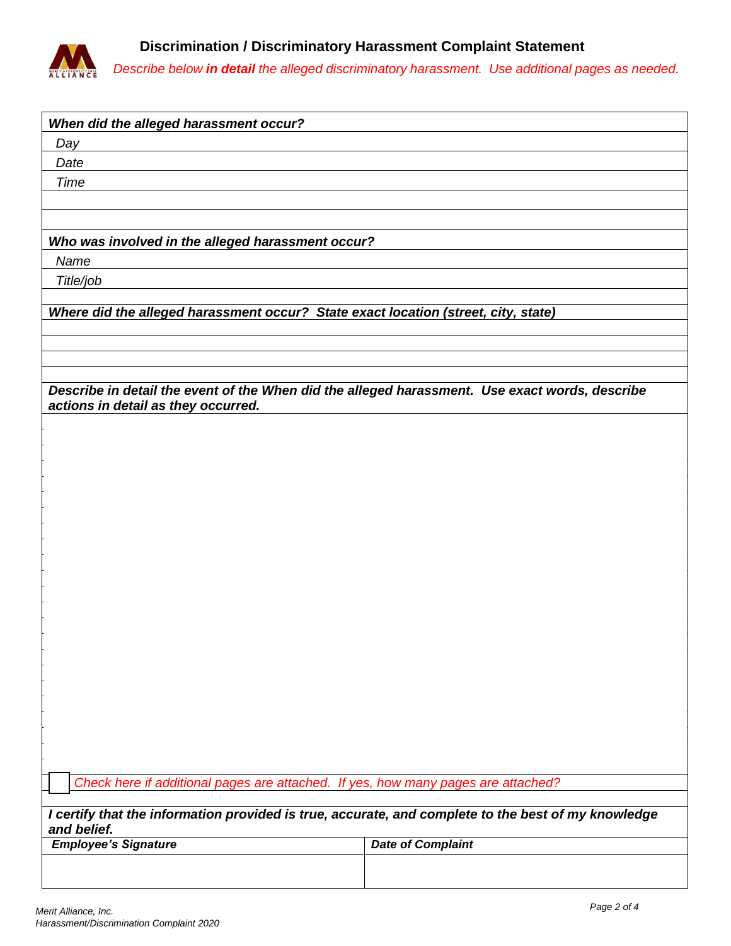

*Describe below in detail the alleged discriminatory harassment. Use additional pages as needed.*

| When did the alleged harassment occur?                                                              |                          |  |  |  |  |  |  |  |
|-----------------------------------------------------------------------------------------------------|--------------------------|--|--|--|--|--|--|--|
| Day                                                                                                 |                          |  |  |  |  |  |  |  |
| Date                                                                                                |                          |  |  |  |  |  |  |  |
| <b>Time</b>                                                                                         |                          |  |  |  |  |  |  |  |
|                                                                                                     |                          |  |  |  |  |  |  |  |
|                                                                                                     |                          |  |  |  |  |  |  |  |
| Who was involved in the alleged harassment occur?                                                   |                          |  |  |  |  |  |  |  |
| Name                                                                                                |                          |  |  |  |  |  |  |  |
|                                                                                                     |                          |  |  |  |  |  |  |  |
| Title/job                                                                                           |                          |  |  |  |  |  |  |  |
| Where did the alleged harassment occur? State exact location (street, city, state)                  |                          |  |  |  |  |  |  |  |
|                                                                                                     |                          |  |  |  |  |  |  |  |
|                                                                                                     |                          |  |  |  |  |  |  |  |
|                                                                                                     |                          |  |  |  |  |  |  |  |
| Describe in detail the event of the When did the alleged harassment. Use exact words, describe      |                          |  |  |  |  |  |  |  |
| actions in detail as they occurred.                                                                 |                          |  |  |  |  |  |  |  |
|                                                                                                     |                          |  |  |  |  |  |  |  |
|                                                                                                     |                          |  |  |  |  |  |  |  |
|                                                                                                     |                          |  |  |  |  |  |  |  |
|                                                                                                     |                          |  |  |  |  |  |  |  |
|                                                                                                     |                          |  |  |  |  |  |  |  |
|                                                                                                     |                          |  |  |  |  |  |  |  |
|                                                                                                     |                          |  |  |  |  |  |  |  |
|                                                                                                     |                          |  |  |  |  |  |  |  |
|                                                                                                     |                          |  |  |  |  |  |  |  |
|                                                                                                     |                          |  |  |  |  |  |  |  |
|                                                                                                     |                          |  |  |  |  |  |  |  |
|                                                                                                     |                          |  |  |  |  |  |  |  |
|                                                                                                     |                          |  |  |  |  |  |  |  |
|                                                                                                     |                          |  |  |  |  |  |  |  |
|                                                                                                     |                          |  |  |  |  |  |  |  |
|                                                                                                     |                          |  |  |  |  |  |  |  |
|                                                                                                     |                          |  |  |  |  |  |  |  |
|                                                                                                     |                          |  |  |  |  |  |  |  |
|                                                                                                     |                          |  |  |  |  |  |  |  |
|                                                                                                     |                          |  |  |  |  |  |  |  |
|                                                                                                     |                          |  |  |  |  |  |  |  |
| Check here if additional pages are attached. If yes, how many pages are attached?                   |                          |  |  |  |  |  |  |  |
| I certify that the information provided is true, accurate, and complete to the best of my knowledge |                          |  |  |  |  |  |  |  |
| and belief.                                                                                         |                          |  |  |  |  |  |  |  |
| <b>Employee's Signature</b>                                                                         | <b>Date of Complaint</b> |  |  |  |  |  |  |  |
|                                                                                                     |                          |  |  |  |  |  |  |  |
|                                                                                                     |                          |  |  |  |  |  |  |  |